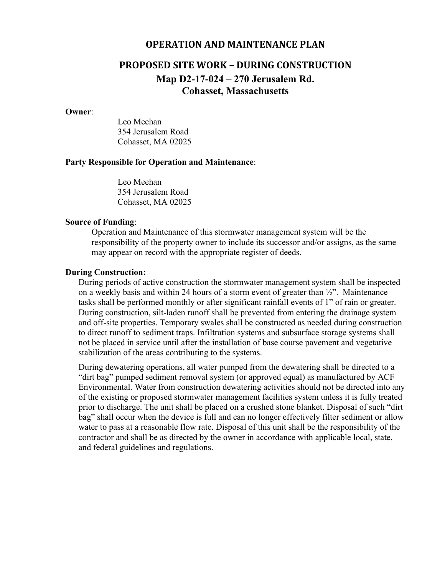## **OPERATION AND MAINTENANCE PLAN**

# **PROPOSED SITE WORK – DURING CONSTRUCTION Map D2-17-024 – 270 Jerusalem Rd. Cohasset, Massachusetts**

#### **Owner**:

Leo Meehan 354 Jerusalem Road Cohasset, MA 02025

### **Party Responsible for Operation and Maintenance**:

Leo Meehan 354 Jerusalem Road Cohasset, MA 02025

### **Source of Funding**:

Operation and Maintenance of this stormwater management system will be the responsibility of the property owner to include its successor and/or assigns, as the same may appear on record with the appropriate register of deeds.

#### **During Construction:**

During periods of active construction the stormwater management system shall be inspected on a weekly basis and within 24 hours of a storm event of greater than  $\frac{1}{2}$ ". Maintenance tasks shall be performed monthly or after significant rainfall events of 1" of rain or greater. During construction, silt-laden runoff shall be prevented from entering the drainage system and off-site properties. Temporary swales shall be constructed as needed during construction to direct runoff to sediment traps. Infiltration systems and subsurface storage systems shall not be placed in service until after the installation of base course pavement and vegetative stabilization of the areas contributing to the systems.

During dewatering operations, all water pumped from the dewatering shall be directed to a "dirt bag" pumped sediment removal system (or approved equal) as manufactured by ACF Environmental. Water from construction dewatering activities should not be directed into any of the existing or proposed stormwater management facilities system unless it is fully treated prior to discharge. The unit shall be placed on a crushed stone blanket. Disposal of such "dirt bag" shall occur when the device is full and can no longer effectively filter sediment or allow water to pass at a reasonable flow rate. Disposal of this unit shall be the responsibility of the contractor and shall be as directed by the owner in accordance with applicable local, state, and federal guidelines and regulations.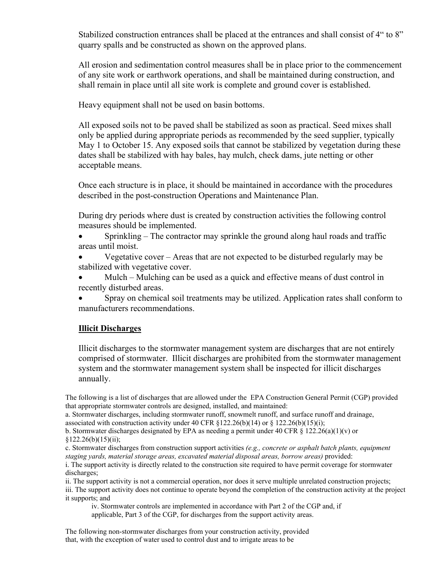Stabilized construction entrances shall be placed at the entrances and shall consist of 4" to 8" quarry spalls and be constructed as shown on the approved plans.

All erosion and sedimentation control measures shall be in place prior to the commencement of any site work or earthwork operations, and shall be maintained during construction, and shall remain in place until all site work is complete and ground cover is established.

Heavy equipment shall not be used on basin bottoms.

All exposed soils not to be paved shall be stabilized as soon as practical. Seed mixes shall only be applied during appropriate periods as recommended by the seed supplier, typically May 1 to October 15. Any exposed soils that cannot be stabilized by vegetation during these dates shall be stabilized with hay bales, hay mulch, check dams, jute netting or other acceptable means.

Once each structure is in place, it should be maintained in accordance with the procedures described in the post-construction Operations and Maintenance Plan.

During dry periods where dust is created by construction activities the following control measures should be implemented.

 Sprinkling – The contractor may sprinkle the ground along haul roads and traffic areas until moist.

 Vegetative cover – Areas that are not expected to be disturbed regularly may be stabilized with vegetative cover.

 Mulch – Mulching can be used as a quick and effective means of dust control in recently disturbed areas.

 Spray on chemical soil treatments may be utilized. Application rates shall conform to manufacturers recommendations.

# **Illicit Discharges**

Illicit discharges to the stormwater management system are discharges that are not entirely comprised of stormwater. Illicit discharges are prohibited from the stormwater management system and the stormwater management system shall be inspected for illicit discharges annually.

The following is a list of discharges that are allowed under the EPA Construction General Permit (CGP) provided that appropriate stormwater controls are designed, installed, and maintained:

a. Stormwater discharges, including stormwater runoff, snowmelt runoff, and surface runoff and drainage, associated with construction activity under 40 CFR §122.26(b)(14) or § 122.26(b)(15)(i);

b. Stormwater discharges designated by EPA as needing a permit under 40 CFR  $\S$  122.26(a)(1)(v) or  $§122.26(b)(15)(ii);$ 

c. Stormwater discharges from construction support activities *(e.g., concrete or asphalt batch plants, equipment staging yards, material storage areas, excavated material disposal areas, borrow areas)* provided:

i. The support activity is directly related to the construction site required to have permit coverage for stormwater discharges;

ii. The support activity is not a commercial operation, nor does it serve multiple unrelated construction projects; iii. The support activity does not continue to operate beyond the completion of the construction activity at the project it supports; and

iv. Stormwater controls are implemented in accordance with Part 2 of the CGP and, if applicable, Part 3 of the CGP, for discharges from the support activity areas.

The following non-stormwater discharges from your construction activity, provided that, with the exception of water used to control dust and to irrigate areas to be